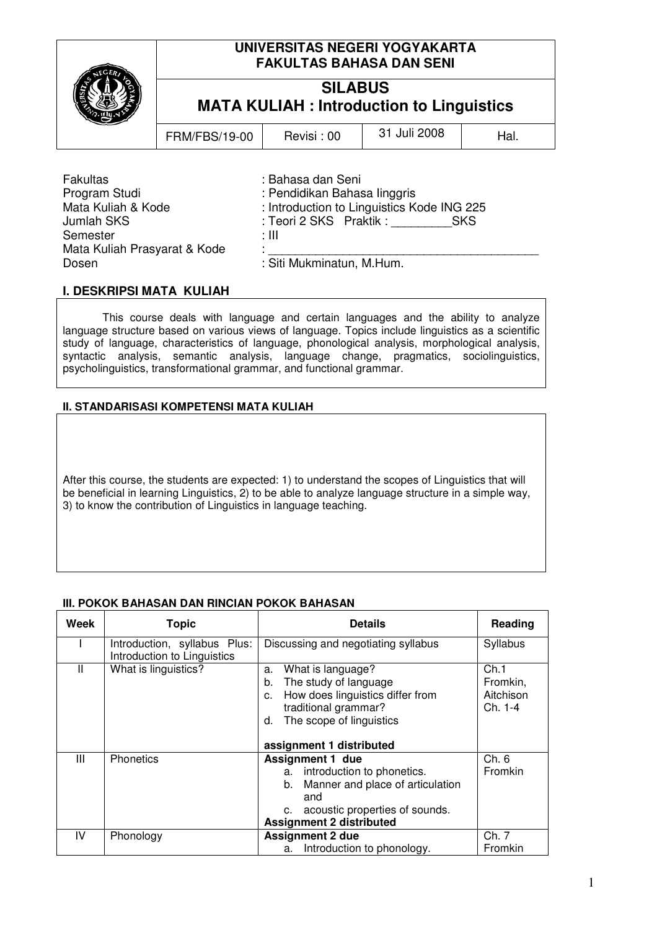# **UNIVERSITAS NEGERI YOGYAKARTA FAKULTAS BAHASA DAN SENI**

# **SILABUS MATA KULIAH : Introduction to Linguistics**

FRM/FBS/19-00 Revisi : 00  $\vert$  31 Juli 2008  $\vert$  Hal.

Fakultas : Bahasa dan Seni Semester : III Mata Kuliah Prasyarat & Kode Dosen : Siti Mukminatun, M.Hum.

: Pendidikan Bahasa linggris Mata Kuliah & Kode : Introduction to Linguistics Kode ING 225 Jumlah SKS : Teori 2 SKS Praktik : SKS

# **I. DESKRIPSI MATA KULIAH**

This course deals with language and certain languages and the ability to analyze language structure based on various views of language. Topics include linguistics as a scientific study of language, characteristics of language, phonological analysis, morphological analysis, syntactic analysis, semantic analysis, language change, pragmatics, sociolinguistics, psycholinguistics, transformational grammar, and functional grammar.

# **II. STANDARISASI KOMPETENSI MATA KULIAH**

After this course, the students are expected: 1) to understand the scopes of Linguistics that will be beneficial in learning Linguistics, 2) to be able to analyze language structure in a simple way, 3) to know the contribution of Linguistics in language teaching.

# **III. POKOK BAHASAN DAN RINCIAN POKOK BAHASAN**

| Week         | <b>Topic</b>                                                | <b>Details</b>                                                                                                                                                                 | Reading                                  |
|--------------|-------------------------------------------------------------|--------------------------------------------------------------------------------------------------------------------------------------------------------------------------------|------------------------------------------|
|              | Introduction, syllabus Plus:<br>Introduction to Linguistics | Discussing and negotiating syllabus                                                                                                                                            | Syllabus                                 |
| $\mathsf{I}$ | What is linguistics?                                        | What is language?<br>a.<br>The study of language<br>b.<br>How does linguistics differ from<br>c.<br>traditional grammar?<br>The scope of linguistics<br>d.                     | Ch.1<br>Fromkin,<br>Aitchison<br>Ch. 1-4 |
|              |                                                             | assignment 1 distributed                                                                                                                                                       |                                          |
| Ш            | <b>Phonetics</b>                                            | <b>Assignment 1 due</b><br>a. introduction to phonetics.<br>Manner and place of articulation<br>b.<br>and<br>acoustic properties of sounds.<br><b>Assignment 2 distributed</b> | Ch. 6<br>Fromkin                         |
| IV           | Phonology                                                   | <b>Assignment 2 due</b>                                                                                                                                                        | Ch. 7                                    |
|              |                                                             | Introduction to phonology.<br>а.                                                                                                                                               | Fromkin                                  |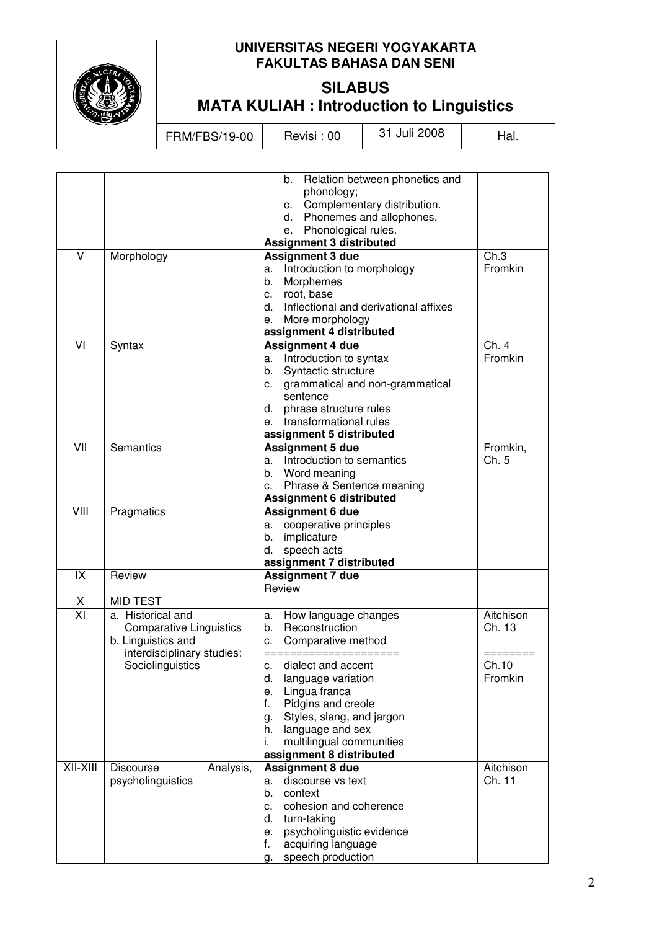

# **UNIVERSITAS NEGERI YOGYAKARTA FAKULTAS BAHASA DAN SENI**

# **SILABUS MATA KULIAH : Introduction to Linguistics**

FRM/FBS/19-00 Revisi : 00 31 Juli 2008 Hal.

|            |                                                                                                         | b. Relation between phonetics and<br>phonology;<br>Complementary distribution.<br>C.<br>Phonemes and allophones.<br>d.<br>Phonological rules.<br>е.                                                                                |                                 |
|------------|---------------------------------------------------------------------------------------------------------|------------------------------------------------------------------------------------------------------------------------------------------------------------------------------------------------------------------------------------|---------------------------------|
|            |                                                                                                         | <b>Assignment 3 distributed</b>                                                                                                                                                                                                    |                                 |
| V          | Morphology                                                                                              | <b>Assignment 3 due</b><br>Introduction to morphology<br>a.<br>Morphemes<br>b.<br>root, base<br>c.<br>Inflectional and derivational affixes<br>d.<br>More morphology<br>е.<br>assignment 4 distributed                             | Ch.3<br>Fromkin                 |
| VI         | Syntax                                                                                                  | <b>Assignment 4 due</b><br>a. Introduction to syntax<br>Syntactic structure<br>b.<br>grammatical and non-grammatical<br>C.<br>sentence<br>phrase structure rules<br>d.<br>transformational rules<br>e.<br>assignment 5 distributed | Ch. 4<br>Fromkin                |
| VII        | <b>Semantics</b>                                                                                        | <b>Assignment 5 due</b><br>Introduction to semantics<br>a.<br>Word meaning<br>b.<br>Phrase & Sentence meaning<br>c.<br><b>Assignment 6 distributed</b>                                                                             | Fromkin,<br>Ch. 5               |
|            | Pragmatics                                                                                              | <b>Assignment 6 due</b><br>cooperative principles<br>а.<br>implicature<br>b.<br>speech acts<br>d.<br>assignment 7 distributed                                                                                                      |                                 |
| IX         | Review                                                                                                  | <b>Assignment 7 due</b><br>Review                                                                                                                                                                                                  |                                 |
| X          | <b>MID TEST</b>                                                                                         |                                                                                                                                                                                                                                    |                                 |
| XI         | a. Historical and<br><b>Comparative Linguistics</b><br>b. Linguistics and<br>interdisciplinary studies: | How language changes<br>a.<br>Reconstruction<br>b.<br>Comparative method<br>c.                                                                                                                                                     | Aitchison<br>Ch. 13<br>======== |
|            | Sociolinguistics                                                                                        | dialect and accent<br>c.<br>d.<br>language variation<br>Lingua franca<br>е.<br>f.<br>Pidgins and creole<br>Styles, slang, and jargon<br>g.<br>h. language and sex<br>multilingual communities<br>i.<br>assignment 8 distributed    | Ch.10<br>Fromkin                |
| $XII-XIII$ | <b>Discourse</b><br>Analysis,<br>psycholinguistics                                                      | <b>Assignment 8 due</b><br>discourse vs text<br>a.<br>context<br>b.<br>cohesion and coherence<br>c.<br>d.<br>turn-taking<br>psycholinguistic evidence<br>е.<br>acquiring language<br>f.<br>speech production<br>g.                 | Aitchison<br>Ch. 11             |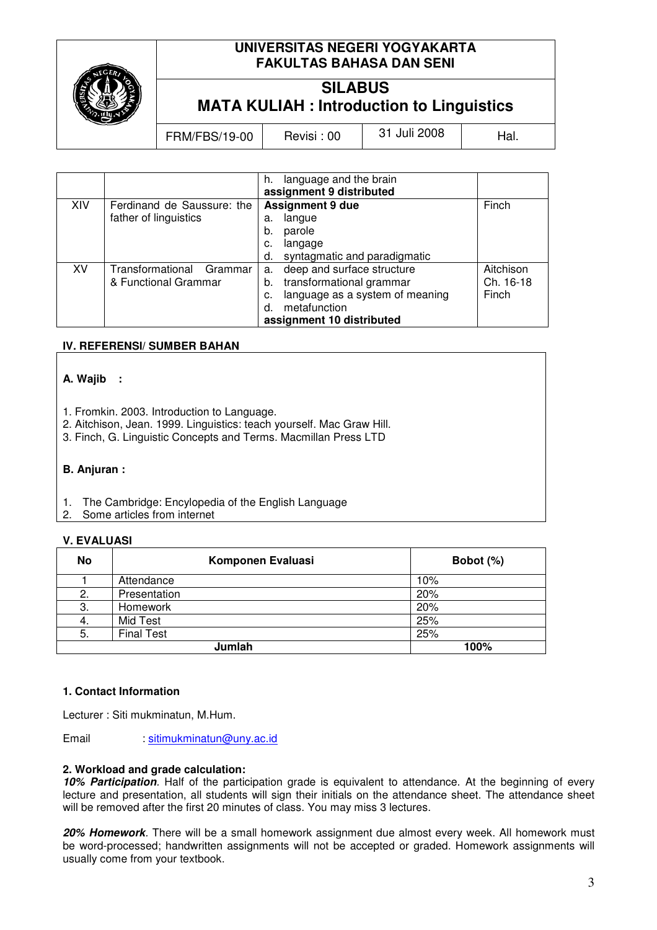

# **UNIVERSITAS NEGERI YOGYAKARTA FAKULTAS BAHASA DAN SENI**

# **SILABUS MATA KULIAH : Introduction to Linguistics**

FRM/FBS/19-00 Revisi : 00  $\vert$  31 Juli 2008  $\vert$  Hal.

|     |                             | language and the brain<br>h.          |           |
|-----|-----------------------------|---------------------------------------|-----------|
|     |                             | assignment 9 distributed              |           |
| XIV | Ferdinand de Saussure: the  | <b>Assignment 9 due</b>               | Finch     |
|     | father of linguistics       | langue<br>a.                          |           |
|     |                             | b.<br>parole                          |           |
|     |                             | langage<br>c.                         |           |
|     |                             | syntagmatic and paradigmatic<br>d.    |           |
| XV  | Transformational<br>Grammar | deep and surface structure<br>a.      | Aitchison |
|     | & Functional Grammar        | transformational grammar<br>b.        | Ch. 16-18 |
|     |                             | language as a system of meaning<br>c. | Finch     |
|     |                             | metafunction<br>d.                    |           |
|     |                             | assignment 10 distributed             |           |

# **IV. REFERENSI/ SUMBER BAHAN**

### **A. Wajib :**

- 1. Fromkin. 2003. Introduction to Language.
- 2. Aitchison, Jean. 1999. Linguistics: teach yourself. Mac Graw Hill.
- 3. Finch, G. Linguistic Concepts and Terms. Macmillan Press LTD

#### **B. Anjuran :**

- 1. The Cambridge: Encylopedia of the English Language
- 2. Some articles from internet

### **V. EVALUASI**

| No | Komponen Evaluasi | Bobot (%) |
|----|-------------------|-----------|
|    | Attendance        | 10%       |
| 2. | Presentation      | 20%       |
| З. | Homework          | 20%       |
| 4. | Mid Test          | 25%       |
| 5. | <b>Final Test</b> | 25%       |
|    | Jumlah            | 100%      |

### **1. Contact Information**

Lecturer : Siti mukminatun, M.Hum.

Email : sitimukminatun@uny.ac.id

#### **2. Workload and grade calculation:**

**10% Participation**. Half of the participation grade is equivalent to attendance. At the beginning of every lecture and presentation, all students will sign their initials on the attendance sheet. The attendance sheet will be removed after the first 20 minutes of class. You may miss 3 lectures.

**20% Homework**. There will be a small homework assignment due almost every week. All homework must be word-processed; handwritten assignments will not be accepted or graded. Homework assignments will usually come from your textbook.